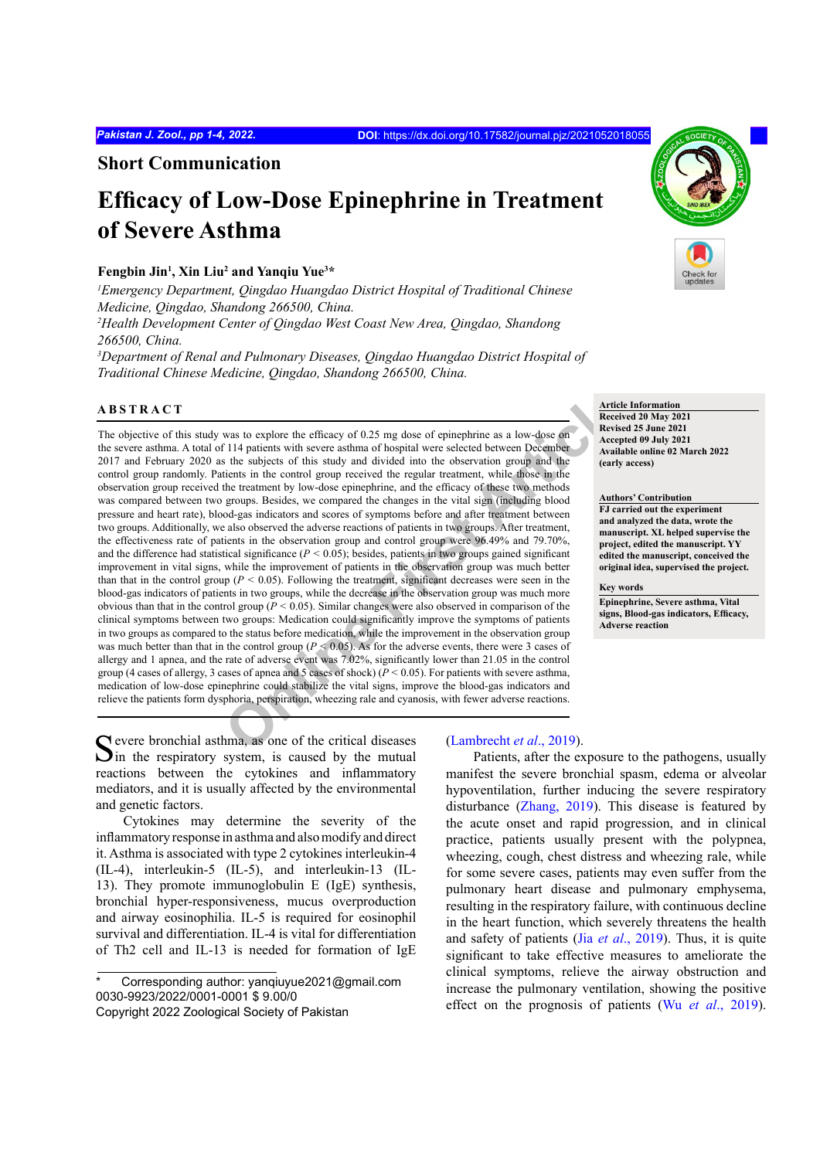**Short Communication**

# **Efficacy of Low-Dose Epinephrine in Treatment of Severe Asthma**

## **Fengbin Jin<sup>1</sup> , Xin Liu<sup>2</sup> and Yanqiu Yue<sup>3</sup> \***

*1 Emergency Department, Qingdao Huangdao District Hospital of Traditional Chinese Medicine, Qingdao, Shandong 266500, China.*

*2 Health Development Center of Qingdao West Coast New Area, Qingdao, Shandong 266500, China.*

*3 Department of Renal and Pulmonary Diseases, Qingdao Huangdao District Hospital of Traditional Chinese Medicine, Qingdao, Shandong 266500, China.*

## **ABSTRACT**

was to explore the efficacy of 0.25 mg dose of epinephrine as a low-dose on **Article**<br>
Text II4 patients with severe asthma of hospital were selected between December<br>
the subjects of this study and divided into the obser The objective of this study was to explore the efficacy of 0.25 mg dose of epinephrine as a low-dose on the severe asthma. A total of 114 patients with severe asthma of hospital were selected between December 2017 and February 2020 as the subjects of this study and divided into the observation group and the control group randomly. Patients in the control group received the regular treatment, while those in the observation group received the treatment by low-dose epinephrine, and the efficacy of these two methods was compared between two groups. Besides, we compared the changes in the vital sign (including blood pressure and heart rate), blood-gas indicators and scores of symptoms before and after treatment between two groups. Additionally, we also observed the adverse reactions of patients in two groups. After treatment, the effectiveness rate of patients in the observation group and control group were 96.49% and 79.70%, and the difference had statistical significance (*P <* 0.05); besides, patients in two groups gained significant improvement in vital signs, while the improvement of patients in the observation group was much better than that in the control group  $(P < 0.05)$ . Following the treatment, significant decreases were seen in the blood-gas indicators of patients in two groups, while the decrease in the observation group was much more obvious than that in the control group (*P <* 0.05). Similar changes were also observed in comparison of the clinical symptoms between two groups: Medication could significantly improve the symptoms of patients in two groups as compared to the status before medication, while the improvement in the observation group was much better than that in the control group (*P <* 0.05). As for the adverse events, there were 3 cases of allergy and 1 apnea, and the rate of adverse event was 7.02%, significantly lower than 21.05 in the control group (4 cases of allergy, 3 cases of appea and 5 cases of shock)  $(P < 0.05)$ . For patients with severe asthma, medication of low-dose epinephrine could stabilize the vital signs, improve the blood-gas indicators and relieve the patients form dysphoria, perspiration, wheezing rale and cyanosis, with fewer adverse reactions.

**Article Information Received 20 May 2021 Revised 25 June 2021 Accepted 09 July 2021 Available online 02 March 2022 (early access)**

**Authors' Contribution**

**FJ carried out the experiment and analyzed the data, wrote the manuscript. XL helped supervise the project, edited the manuscript. YY edited the manuscript, conceived the original idea, supervised the project.**

#### **Key words**

**Epinephrine, Severe asthma, Vital signs, Blood-gas indicators, Efficacy, Adverse reaction**

Severe bronchial asthma, as one of the critical diseases  $S$  in the respiratory system, is caused by the mutual reactions between the cytokines and inflammatory mediators, and it is usually affected by the environmental and genetic factors.

Cytokines may determine the severity of the inflammatory response in asthma and also modify and direct it. Asthma is associated with type 2 cytokines interleukin-4 (IL-4), interleukin-5 (IL-5), and interleukin-13 (IL-13). They promote immunoglobulin E (IgE) synthesis, bronchial hyper-responsiveness, mucus overproduction and airway eosinophilia. IL-5 is required for eosinophil survival and differentiation. IL-4 is vital for differentiation of Th2 cell and IL-13 is needed for formation of IgE

## (Lambrecht *et al*., 2019).

Patients, after the exposure to the pathogens, usually manifest the severe bronchial spasm, edema or alveolar hypoventilation, further inducing the severe respiratory disturbance [\(Zhang, 2019\)](#page-3-1). This disease is featured by the acute onset and rapid progression, and in clinical practice, patients usually present with the polypnea, wheezing, cough, chest distress and wheezing rale, while for some severe cases, patients may even suffer from the pulmonary heart disease and pulmonary emphysema, resulting in the respiratory failure, with continuous decline in the heart function, which severely threatens the health and safety of patients (Jia *et al*[., 2019\)](#page-3-2). Thus, it is quite significant to take effective measures to ameliorate the clinical symptoms, relieve the airway obstruction and increase the pulmonary ventilation, showing the positive effect on the prognosis of patients (Wu *et al*[., 2019\)](#page-3-3).



Corresponding author: yanqiuyue2021@gmail.com 0030-9923/2022/0001-0001 \$ 9.00/0 Copyright 2022 Zoological Society of Pakistan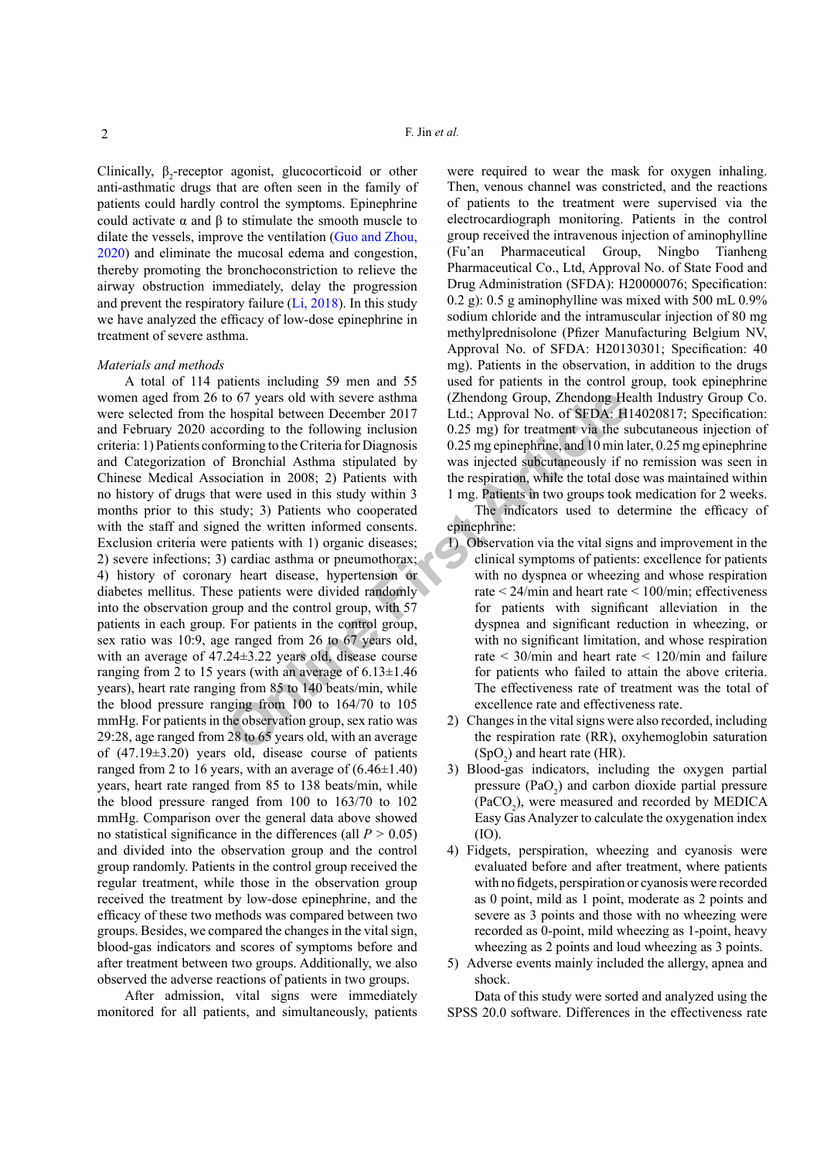Clinically,  $\beta_2$ -receptor agonist, glucocorticoid or other anti-asthmatic drugs that are often seen in the family of patients could hardly control the symptoms. Epinephrine could activate α and β to stimulate the smooth muscle to dilate the vessels, improve the ventilation ([Guo and Zhou,](#page-3-4) [2020\)](#page-3-4) and eliminate the mucosal edema and congestion, thereby promoting the bronchoconstriction to relieve the airway obstruction immediately, delay the progression and prevent the respiratory failure ([Li, 2018\)](#page-3-5). In this study we have analyzed the efficacy of low-dose epinephrine in treatment of severe asthma.

### *Materials and methods*

16 of 7 years old with severe asthma<br>
16 of 7 years old with severe asthma<br>
16 of SFDA: H<br>
Cording to the Cliteria for Diagnosis<br>
16 of SFDA: H<br>
16 or Simple in the diale of the collowing incustom<br>
16 Bronchial Asthma sti A total of 114 patients including 59 men and 55 women aged from 26 to 67 years old with severe asthma were selected from the hospital between December 2017 and February 2020 according to the following inclusion criteria: 1) Patients conforming to the Criteria for Diagnosis and Categorization of Bronchial Asthma stipulated by Chinese Medical Association in 2008; 2) Patients with no history of drugs that were used in this study within 3 months prior to this study; 3) Patients who cooperated with the staff and signed the written informed consents. Exclusion criteria were patients with 1) organic diseases; 2) severe infections; 3) cardiac asthma or pneumothorax; 4) history of coronary heart disease, hypertension or diabetes mellitus. These patients were divided randomly into the observation group and the control group, with 57 patients in each group. For patients in the control group, sex ratio was 10:9, age ranged from 26 to 67 years old, with an average of 47.24±3.22 years old, disease course ranging from 2 to 15 years (with an average of  $6.13 \pm 1.46$ ) years), heart rate ranging from 85 to 140 beats/min, while the blood pressure ranging from 100 to 164/70 to 105 mmHg. For patients in the observation group, sex ratio was 29:28, age ranged from 28 to 65 years old, with an average of (47.19±3.20) years old, disease course of patients ranged from 2 to 16 years, with an average of  $(6.46\pm1.40)$ years, heart rate ranged from 85 to 138 beats/min, while the blood pressure ranged from 100 to 163/70 to 102 mmHg. Comparison over the general data above showed no statistical significance in the differences (all *P >* 0.05) and divided into the observation group and the control group randomly. Patients in the control group received the regular treatment, while those in the observation group received the treatment by low-dose epinephrine, and the efficacy of these two methods was compared between two groups. Besides, we compared the changes in the vital sign, blood-gas indicators and scores of symptoms before and after treatment between two groups. Additionally, we also observed the adverse reactions of patients in two groups.

After admission, vital signs were immediately monitored for all patients, and simultaneously, patients

were required to wear the mask for oxygen inhaling. Then, venous channel was constricted, and the reactions of patients to the treatment were supervised via the electrocardiograph monitoring. Patients in the control group received the intravenous injection of aminophylline (Fu'an Pharmaceutical Group, Ningbo Tianheng Pharmaceutical Co., Ltd, Approval No. of State Food and Drug Administration (SFDA): H20000076; Specification: 0.2 g): 0.5 g aminophylline was mixed with 500 mL 0.9% sodium chloride and the intramuscular injection of 80 mg methylprednisolone (Pfizer Manufacturing Belgium NV, Approval No. of SFDA: H20130301; Specification: 40 mg). Patients in the observation, in addition to the drugs used for patients in the control group, took epinephrine (Zhendong Group, Zhendong Health Industry Group Co. Ltd.; Approval No. of SFDA: H14020817; Specification: 0.25 mg) for treatment via the subcutaneous injection of 0.25 mg epinephrine, and 10 min later, 0.25 mg epinephrine was injected subcutaneously if no remission was seen in the respiration, while the total dose was maintained within 1 mg. Patients in two groups took medication for 2 weeks.

The indicators used to determine the efficacy of epinephrine:

- 1) Observation via the vital signs and improvement in the clinical symptoms of patients: excellence for patients with no dyspnea or wheezing and whose respiration rate < 24/min and heart rate < 100/min; effectiveness for patients with significant alleviation in the dyspnea and significant reduction in wheezing, or with no significant limitation, and whose respiration rate < 30/min and heart rate < 120/min and failure for patients who failed to attain the above criteria. The effectiveness rate of treatment was the total of excellence rate and effectiveness rate.
- 2) Changes in the vital signs were also recorded, including the respiration rate (RR), oxyhemoglobin saturation  $(SpO<sub>2</sub>)$  and heart rate (HR).
- 3) Blood-gas indicators, including the oxygen partial pressure  $(PaO<sub>2</sub>)$  and carbon dioxide partial pressure  $(PaCO<sub>2</sub>)$ , were measured and recorded by MEDICA Easy Gas Analyzer to calculate the oxygenation index (IO).
- 4) Fidgets, perspiration, wheezing and cyanosis were evaluated before and after treatment, where patients with no fidgets, perspiration or cyanosis were recorded as 0 point, mild as 1 point, moderate as 2 points and severe as 3 points and those with no wheezing were recorded as 0-point, mild wheezing as 1-point, heavy wheezing as 2 points and loud wheezing as 3 points.
- 5) Adverse events mainly included the allergy, apnea and shock.

Data of this study were sorted and analyzed using the SPSS 20.0 software. Differences in the effectiveness rate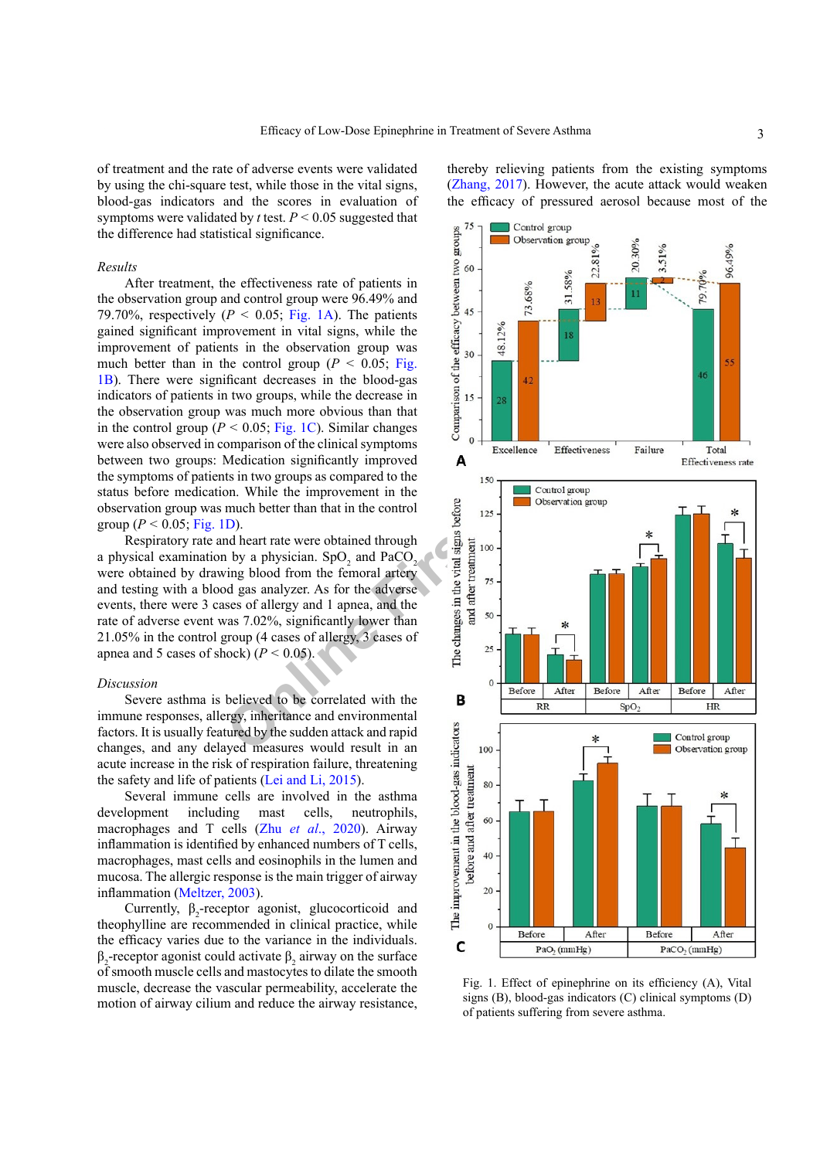of treatment and the rate of adverse events were validated by using the chi-square test, while those in the vital signs, blood-gas indicators and the scores in evaluation of symptoms were validated by *t* test. *P <* 0.05 suggested that the difference had statistical significance.

## *Results*

After treatment, the effectiveness rate of patients in the observation group and control group were 96.49% and 79.70%, respectively  $(P < 0.05$ ; [Fig. 1A](#page-2-0)). The patients gained significant improvement in vital signs, while the improvement of patients in the observation group was much better than in the control group ( $P < 0.05$ ; [Fig.](#page-2-0) [1B](#page-2-0)). There were significant decreases in the blood-gas indicators of patients in two groups, while the decrease in the observation group was much more obvious than that in the control group ( $P < 0.05$ ; Fig. 1C). Similar changes were also observed in comparison of the clinical symptoms between two groups: Medication significantly improved the symptoms of patients in two groups as compared to the status before medication. While the improvement in the observation group was much better than that in the control group ( $P < 0.05$ ; [Fig. 1D](#page-2-0)).

Respiratory rate and heart rate were obtained through a physical examination by a physician.  $SpO<sub>2</sub>$  and  $PaCO<sub>2</sub>$ were obtained by drawing blood from the femoral artery and testing with a blood gas analyzer. As for the adverse events, there were 3 cases of allergy and 1 apnea, and the rate of adverse event was 7.02%, significantly lower than 21.05% in the control group (4 cases of allergy, 3 cases of apnea and 5 cases of shock)  $(P < 0.05)$ .

#### *Discussion*

Severe asthma is believed to be correlated with the immune responses, allergy, inheritance and environmental factors. It is usually featured by the sudden attack and rapid changes, and any delayed measures would result in an acute increase in the risk of respiration failure, threatening the safety and life of patients [\(Lei and Li, 2015\)](#page-3-6).

Several immune cells are involved in the asthma development including mast cells, neutrophils, macrophages and T cells (Zhu *et al*[., 2020](#page-3-7)). Airway inflammation is identified by enhanced numbers of T cells, macrophages, mast cells and eosinophils in the lumen and mucosa. The allergic response is the main trigger of airway inflammation ([Meltzer, 2003\)](#page-3-8).

Currently,  $\beta_2$ -receptor agonist, glucocorticoid and theophylline are recommended in clinical practice, while the efficacy varies due to the variance in the individuals.  $β_2$ -receptor agonist could activate  $β_2$  airway on the surface of smooth muscle cells and mastocytes to dilate the smooth muscle, decrease the vascular permeability, accelerate the motion of airway cilium and reduce the airway resistance,

thereby relieving patients from the existing symptoms [\(Zhang, 2017\)](#page-3-9). However, the acute attack would weaken the efficacy of pressured aerosol because most of the



<span id="page-2-0"></span>Fig. 1. Effect of epinephrine on its efficiency (A), Vital signs (B), blood-gas indicators (C) clinical symptoms (D) of patients suffering from severe asthma.